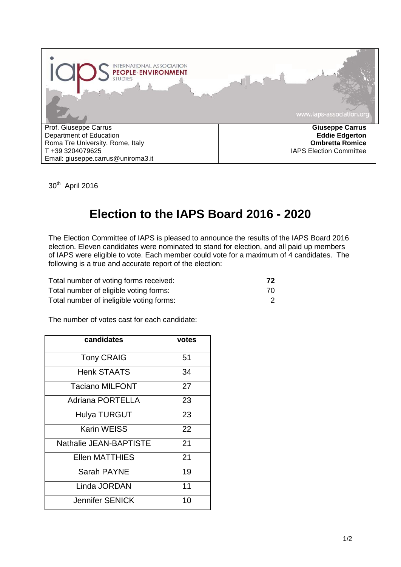

30<sup>th</sup> April 2016

## **Election to the IAPS Board 2016 - 2020**

The Election Committee of IAPS is pleased to announce the results of the IAPS Board 2016 election. Eleven candidates were nominated to stand for election, and all paid up members of IAPS were eligible to vote. Each member could vote for a maximum of 4 candidates. The following is a true and accurate report of the election:

| Total number of voting forms received:   | 72  |
|------------------------------------------|-----|
| Total number of eligible voting forms:   | 70. |
| Total number of ineligible voting forms: |     |

The number of votes cast for each candidate:

| candidates             | votes |
|------------------------|-------|
| <b>Tony CRAIG</b>      | 51    |
| <b>Henk STAATS</b>     | 34    |
| <b>Taciano MILFONT</b> | 27    |
| Adriana PORTELLA       | 23    |
| <b>Hulya TURGUT</b>    | 23    |
| Karin WEISS            | 22    |
| Nathalie JEAN-BAPTISTE | 21    |
| <b>Ellen MATTHIES</b>  | 21    |
| Sarah PAYNE            | 19    |
| Linda JORDAN           | 11    |
| Jennifer SENICK        | 10    |